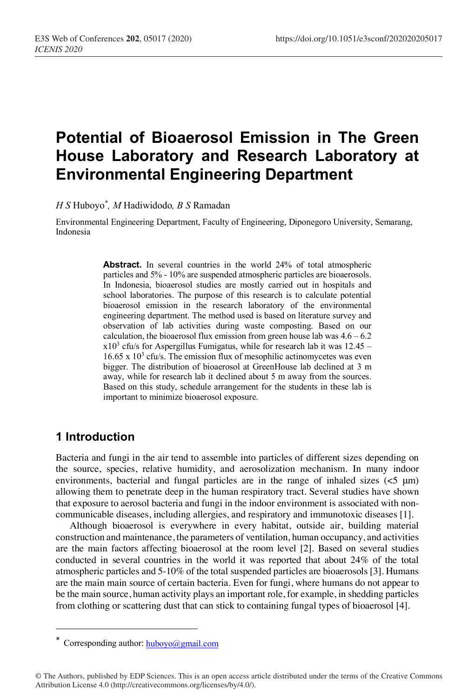# **Potential of Bioaerosol Emission in The Green House Laboratory and Research Laboratory at Environmental Engineering Department**

*H S* Huboyo*\* , M* Hadiwidodo*, B S* Ramadan

Environmental Engineering Department, Faculty of Engineering, Diponegoro University, Semarang, Indonesia

> Abstract. In several countries in the world 24% of total atmospheric particles and 5% - 10% are suspended atmospheric particles are bioaerosols. In Indonesia, bioaerosol studies are mostly carried out in hospitals and school laboratories. The purpose of this research is to calculate potential bioaerosol emission in the research laboratory of the environmental engineering department. The method used is based on literature survey and observation of lab activities during waste composting. Based on our calculation, the bioaerosol flux emission from green house lab was  $4.6 - 6.2$  $x10<sup>3</sup>$  cfu/s for Aspergillus Fumigatus, while for research lab it was 12.45 –  $16.65 \times 10^3$  cfu/s. The emission flux of mesophilic actinomycetes was even bigger. The distribution of bioaerosol at GreenHouse lab declined at 3 m away, while for research lab it declined about 5 m away from the sources. Based on this study, schedule arrangement for the students in these lab is important to minimize bioaerosol exposure.

#### **1 Introduction**

I

Bacteria and fungi in the air tend to assemble into particles of different sizes depending on the source, species, relative humidity, and aerosolization mechanism. In many indoor environments, bacterial and fungal particles are in the range of inhaled sizes  $\left(\leq 5 \text{ }\mu\text{m}\right)$ allowing them to penetrate deep in the human respiratory tract. Several studies have shown that exposure to aerosol bacteria and fungi in the indoor environment is associated with noncommunicable diseases, including allergies, and respiratory and immunotoxic diseases [1].

Although bioaerosol is everywhere in every habitat, outside air, building material construction and maintenance, the parameters of ventilation, human occupancy, and activities are the main factors affecting bioaerosol at the room level [2]. Based on several studies conducted in several countries in the world it was reported that about 24% of the total atmospheric particles and 5-10% of the total suspended particles are bioaerosols [3]. Humans are the main main source of certain bacteria. Even for fungi, where humans do not appear to be the main source, human activity plays an important role, for example, in shedding particles from clothing or scattering dust that can stick to containing fungal types of bioaerosol [4].

<sup>\*</sup> Corresponding author:  $\underline{huboyo}$ @gmail.com

<sup>©</sup> The Authors, published by EDP Sciences. This is an open access article distributed under the terms of the Creative Commons Attribution License 4.0 (http://creativecommons.org/licenses/by/4.0/).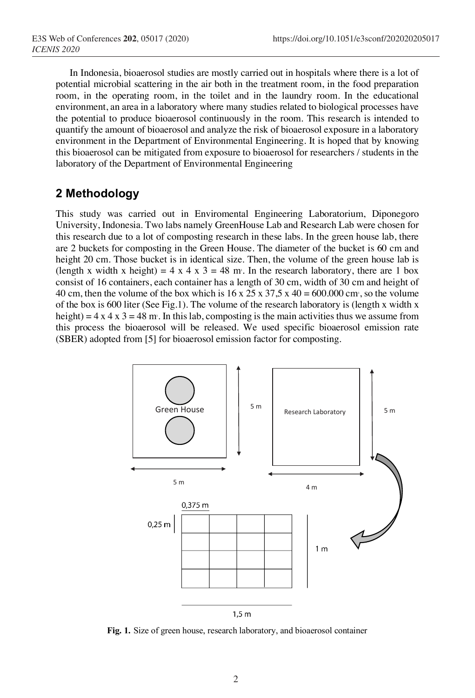In Indonesia, bioaerosol studies are mostly carried out in hospitals where there is a lot of potential microbial scattering in the air both in the treatment room, in the food preparation room, in the operating room, in the toilet and in the laundry room. In the educational environment, an area in a laboratory where many studies related to biological processes have the potential to produce bioaerosol continuously in the room. This research is intended to quantify the amount of bioaerosol and analyze the risk of bioaerosol exposure in a laboratory environment in the Department of Environmental Engineering. It is hoped that by knowing this bioaerosol can be mitigated from exposure to bioaerosol for researchers / students in the laboratory of the Department of Environmental Engineering

#### **2 Methodology**

This study was carried out in Enviromental Engineering Laboratorium, Diponegoro University, Indonesia. Two labs namely GreenHouse Lab and Research Lab were chosen for this research due to a lot of composting research in these labs. In the green house lab, there are 2 buckets for composting in the Green House. The diameter of the bucket is 60 cm and height 20 cm. Those bucket is in identical size. Then, the volume of the green house lab is (length x width x height) =  $4 \times 4 \times 3 = 48$  m<sup>3</sup>. In the research laboratory, there are 1 box consist of 16 containers, each container has a length of 30 cm, width of 30 cm and height of 40 cm, then the volume of the box which is  $16 \times 25 \times 37.5 \times 40 = 600.000$  cm<sup>3</sup>, so the volume of the box is 600 liter (See Fig.1). The volume of the research laboratory is (length x width x height) =  $4 \times 4 \times 3 = 48$  m. In this lab, composting is the main activities thus we assume from this process the bioaerosol will be released. We used specific bioaerosol emission rate (SBER) adopted from [5] for bioaerosol emission factor for composting.



**Fig. 1.** Size of green house, research laboratory, and bioaerosol container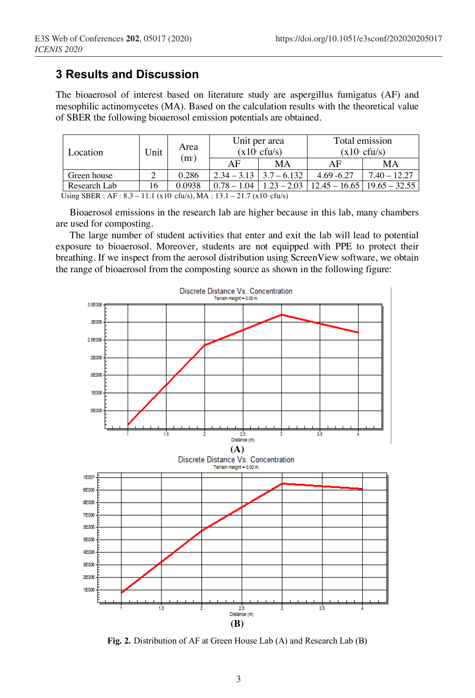## **3 Results and Discussion**

The bioaerosol of interest based on literature study are aspergillus fumigatus (AF) and mesophilic actinomycetes (MA). Based on the calculation results with the theoretical value of SBER the following bioaerosol emission potentials are obtained.

| Location     | Unit | Area<br>$\rm (m^{\scriptscriptstyle 2})$ | Unit per area<br>$(x10 \text{ c} \text{f}u/s)$ |                               | Total emission<br>$(x10 \text{ s} \text{ cftu/s})$ |                                                                   |
|--------------|------|------------------------------------------|------------------------------------------------|-------------------------------|----------------------------------------------------|-------------------------------------------------------------------|
|              |      |                                          | AF                                             | МA                            | ΑF                                                 | МA                                                                |
| Green house  |      | 0.286                                    |                                                | $2.34 - 3.13$   $3.7 - 6.132$ | $4.69 - 6.27$                                      | $7.40 - 12.27$                                                    |
| Research Lab | 16   | 0.0938                                   |                                                |                               |                                                    | $0.78 - 1.04$   $1.23 - 2.03$   $12.45 - 16.65$   $19.65 - 32.55$ |

Using SBER : AF :  $8.3 - 11.1$  (x10 $\text{ }$  cfu/s), MA :  $13.1 - 21.7$  (x10 $\text{ }$  cfu/s)

Bioaerosol emissions in the research lab are higher because in this lab, many chambers are used for composting.

The large number of student activities that enter and exit the lab will lead to potential exposure to bioaerosol. Moreover, students are not equipped with PPE to protect their breathing. If we inspect from the aerosol distribution using ScreenView software, we obtain the range of bioaerosol from the composting source as shown in the following figure:



**Fig. 2.** Distribution of AF at Green House Lab (A) and Research Lab (B)